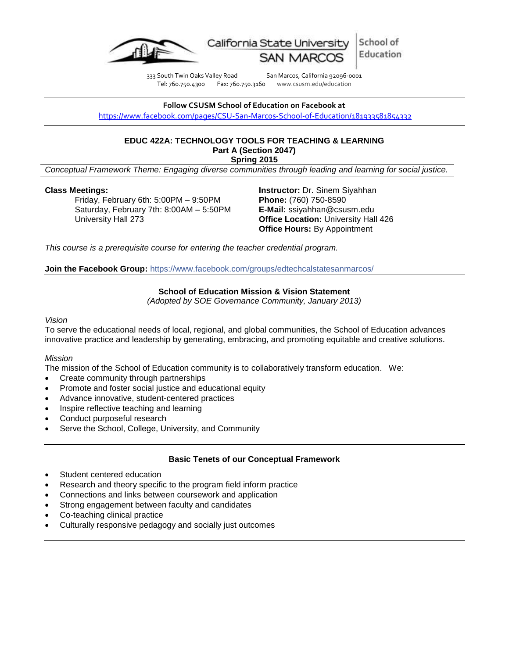

School of California State University Education

333 South Twin Oaks Valley Road San Marcos, California 92096-0001<br>Tel: 760.750.4300 Fax: 760.750.3160 www.csusm.edu/education Tel: 760.750.4300 Fax: 760.750.3160 www.csusm.edu/education

**Follow CSUSM School of Education on Facebook at** <https://www.facebook.com/pages/CSU-San-Marcos-School-of-Education/181933581854332>

### **EDUC 422A: TECHNOLOGY TOOLS FOR TEACHING & LEARNING Part A (Section 2047) Spring 2015**

*Conceptual Framework Theme: Engaging diverse communities through leading and learning for social justice.*

### **Class Meetings:**

Friday, February 6th: 5:00PM – 9:50PM Saturday, February 7th: 8:00AM – 5:50PM University Hall 273

**Instructor:** Dr. Sinem Siyahhan **Phone:** (760) 750-8590 **E-Mail:** ssiyahhan@csusm.edu **Office Location:** University Hall 426 **Office Hours:** By Appointment

*This course is a prerequisite course for entering the teacher credential program.*

**Join the Facebook Group:** <https://www.facebook.com/groups/edtechcalstatesanmarcos/>

#### **School of Education Mission & Vision Statement**

*(Adopted by SOE Governance Community, January 2013)*

#### *Vision*

To serve the educational needs of local, regional, and global communities, the School of Education advances innovative practice and leadership by generating, embracing, and promoting equitable and creative solutions.

### *Mission*

The mission of the School of Education community is to collaboratively transform education. We:

- Create community through partnerships
- Promote and foster social justice and educational equity
- Advance innovative, student-centered practices
- Inspire reflective teaching and learning
- Conduct purposeful research
- Serve the School, College, University, and Community

### **Basic Tenets of our Conceptual Framework**

- Student centered education
- Research and theory specific to the program field inform practice
- Connections and links between coursework and application
- Strong engagement between faculty and candidates
- Co-teaching clinical practice
- Culturally responsive pedagogy and socially just outcomes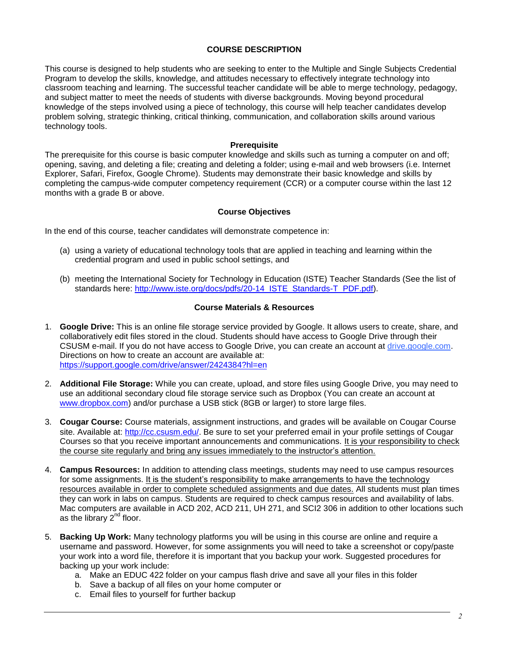### **COURSE DESCRIPTION**

This course is designed to help students who are seeking to enter to the Multiple and Single Subjects Credential Program to develop the skills, knowledge, and attitudes necessary to effectively integrate technology into classroom teaching and learning. The successful teacher candidate will be able to merge technology, pedagogy, and subject matter to meet the needs of students with diverse backgrounds. Moving beyond procedural knowledge of the steps involved using a piece of technology, this course will help teacher candidates develop problem solving, strategic thinking, critical thinking, communication, and collaboration skills around various technology tools.

### **Prerequisite**

The prerequisite for this course is basic computer knowledge and skills such as turning a computer on and off; opening, saving, and deleting a file; creating and deleting a folder; using e-mail and web browsers (i.e. Internet Explorer, Safari, Firefox, Google Chrome). Students may demonstrate their basic knowledge and skills by completing the campus-wide computer competency requirement (CCR) or a computer course within the last 12 months with a grade B or above.

# **Course Objectives**

In the end of this course, teacher candidates will demonstrate competence in:

- (a) using a variety of educational technology tools that are applied in teaching and learning within the credential program and used in public school settings, and
- (b) meeting the International Society for Technology in Education (ISTE) Teacher Standards (See the list of standards here: [http://www.iste.org/docs/pdfs/20-14\\_ISTE\\_Standards-T\\_PDF.pdf\)](http://www.iste.org/docs/pdfs/20-14_ISTE_Standards-T_PDF.pdf).

### **Course Materials & Resources**

- 1. **Google Drive:** This is an online file storage service provided by Google. It allows users to create, share, and collaboratively edit files stored in the cloud. Students should have access to Google Drive through their CSUSM e-mail. If you do not have access to Google Drive, you can create an account at drive.google.com. Directions on how to create an account are available at: <https://support.google.com/drive/answer/2424384?hl=en>
- 2. **Additional File Storage:** While you can create, upload, and store files using Google Drive, you may need to use an additional secondary cloud file storage service such as Dropbox (You can create an account at [www.dropbox.com\)](http://www.dropbox.com/) and/or purchase a USB stick (8GB or larger) to store large files.
- 3. **Cougar Course:** Course materials, assignment instructions, and grades will be available on Cougar Course site. Available at: [http://cc.csusm.edu/.](http://cc.csusm.edu/) Be sure to set your preferred email in your profile settings of Cougar Courses so that you receive important announcements and communications. It is your responsibility to check the course site regularly and bring any issues immediately to the instructor's attention.
- 4. **Campus Resources:** In addition to attending class meetings, students may need to use campus resources for some assignments. It is the student's responsibility to make arrangements to have the technology resources available in order to complete scheduled assignments and due dates. All students must plan times they can work in labs on campus. Students are required to check campus resources and availability of labs. Mac computers are available in ACD 202, ACD 211, UH 271, and SCI2 306 in addition to other locations such as the library  $2<sup>nd</sup>$  floor.
- 5. **Backing Up Work:** Many technology platforms you will be using in this course are online and require a username and password. However, for some assignments you will need to take a screenshot or copy/paste your work into a word file, therefore it is important that you backup your work. Suggested procedures for backing up your work include:
	- a. Make an EDUC 422 folder on your campus flash drive and save all your files in this folder
	- b. Save a backup of all files on your home computer or
	- c. Email files to yourself for further backup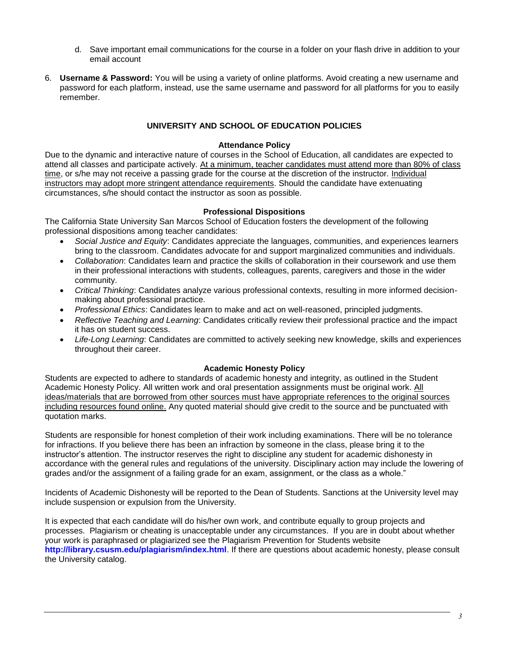- d. Save important email communications for the course in a folder on your flash drive in addition to your email account
- 6. **Username & Password:** You will be using a variety of online platforms. Avoid creating a new username and password for each platform, instead, use the same username and password for all platforms for you to easily remember.

# **UNIVERSITY AND SCHOOL OF EDUCATION POLICIES**

### **Attendance Policy**

Due to the dynamic and interactive nature of courses in the School of Education, all candidates are expected to attend all classes and participate actively. At a minimum, teacher candidates must attend more than 80% of class time, or s/he may not receive a passing grade for the course at the discretion of the instructor. Individual instructors may adopt more stringent attendance requirements. Should the candidate have extenuating circumstances, s/he should contact the instructor as soon as possible.

### **Professional Dispositions**

The California State University San Marcos School of Education fosters the development of the following professional dispositions among teacher candidates:

- *Social Justice and Equity*: Candidates appreciate the languages, communities, and experiences learners bring to the classroom. Candidates advocate for and support marginalized communities and individuals.
- *Collaboration*: Candidates learn and practice the skills of collaboration in their coursework and use them in their professional interactions with students, colleagues, parents, caregivers and those in the wider community.
- *Critical Thinking*: Candidates analyze various professional contexts, resulting in more informed decisionmaking about professional practice.
- *Professional Ethics*: Candidates learn to make and act on well-reasoned, principled judgments.
- *Reflective Teaching and Learning*: Candidates critically review their professional practice and the impact it has on student success.
- *Life-Long Learning*: Candidates are committed to actively seeking new knowledge, skills and experiences throughout their career.

### **Academic Honesty Policy**

Students are expected to adhere to standards of academic honesty and integrity, as outlined in the Student Academic Honesty Policy. All written work and oral presentation assignments must be original work. All ideas/materials that are borrowed from other sources must have appropriate references to the original sources including resources found online. Any quoted material should give credit to the source and be punctuated with quotation marks.

Students are responsible for honest completion of their work including examinations. There will be no tolerance for infractions. If you believe there has been an infraction by someone in the class, please bring it to the instructor's attention. The instructor reserves the right to discipline any student for academic dishonesty in accordance with the general rules and regulations of the university. Disciplinary action may include the lowering of grades and/or the assignment of a failing grade for an exam, assignment, or the class as a whole."

Incidents of Academic Dishonesty will be reported to the Dean of Students. Sanctions at the University level may include suspension or expulsion from the University.

It is expected that each candidate will do his/her own work, and contribute equally to group projects and processes. Plagiarism or cheating is unacceptable under any circumstances. If you are in doubt about whether your work is paraphrased or plagiarized see the Plagiarism Prevention for Students website **<http://library.csusm.edu/plagiarism/index.html>**. If there are questions about academic honesty, please consult the University catalog.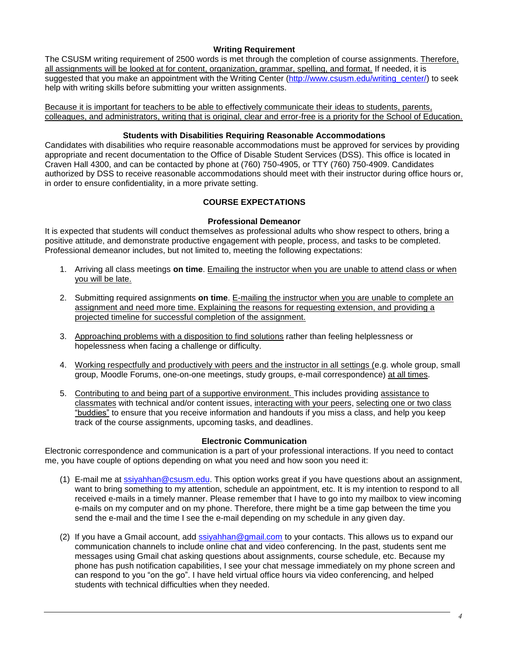### **Writing Requirement**

The CSUSM writing requirement of 2500 words is met through the completion of course assignments. Therefore, all assignments will be looked at for content, organization, grammar, spelling, and format. If needed, it is suggested that you make an appointment with the Writing Center [\(http://www.csusm.edu/writing\\_center/\)](http://www.csusm.edu/writing_center/) to seek help with writing skills before submitting your written assignments.

Because it is important for teachers to be able to effectively communicate their ideas to students, parents, colleagues, and administrators, writing that is original, clear and error-free is a priority for the School of Education.

### **Students with Disabilities Requiring Reasonable Accommodations**

Candidates with disabilities who require reasonable accommodations must be approved for services by providing appropriate and recent documentation to the Office of Disable Student Services (DSS). This office is located in Craven Hall 4300, and can be contacted by phone at (760) 750-4905, or TTY (760) 750-4909. Candidates authorized by DSS to receive reasonable accommodations should meet with their instructor during office hours or, in order to ensure confidentiality, in a more private setting.

# **COURSE EXPECTATIONS**

### **Professional Demeanor**

It is expected that students will conduct themselves as professional adults who show respect to others, bring a positive attitude, and demonstrate productive engagement with people, process, and tasks to be completed. Professional demeanor includes, but not limited to, meeting the following expectations:

- 1. Arriving all class meetings **on time**. Emailing the instructor when you are unable to attend class or when you will be late.
- 2. Submitting required assignments **on time**. E-mailing the instructor when you are unable to complete an assignment and need more time. Explaining the reasons for requesting extension, and providing a projected timeline for successful completion of the assignment.
- 3. Approaching problems with a disposition to find solutions rather than feeling helplessness or hopelessness when facing a challenge or difficulty.
- 4. Working respectfully and productively with peers and the instructor in all settings (e.g. whole group, small group, Moodle Forums, one-on-one meetings, study groups, e-mail correspondence) at all times.
- 5. Contributing to and being part of a supportive environment. This includes providing assistance to classmates with technical and/or content issues, interacting with your peers, selecting one or two class "buddies" to ensure that you receive information and handouts if you miss a class, and help you keep track of the course assignments, upcoming tasks, and deadlines.

# **Electronic Communication**

Electronic correspondence and communication is a part of your professional interactions. If you need to contact me, you have couple of options depending on what you need and how soon you need it:

- (1) E-mail me at [ssiyahhan@csusm.edu.](mailto:ssiyahhan@csusm.edu) This option works great if you have questions about an assignment, want to bring something to my attention, schedule an appointment, etc. It is my intention to respond to all received e-mails in a timely manner. Please remember that I have to go into my mailbox to view incoming e-mails on my computer and on my phone. Therefore, there might be a time gap between the time you send the e-mail and the time I see the e-mail depending on my schedule in any given day.
- (2) If you have a Gmail account, add [ssiyahhan@gmail.com](mailto:ssiyahhan@gmail.com) to your contacts. This allows us to expand our communication channels to include online chat and video conferencing. In the past, students sent me messages using Gmail chat asking questions about assignments, course schedule, etc. Because my phone has push notification capabilities, I see your chat message immediately on my phone screen and can respond to you "on the go". I have held virtual office hours via video conferencing, and helped students with technical difficulties when they needed.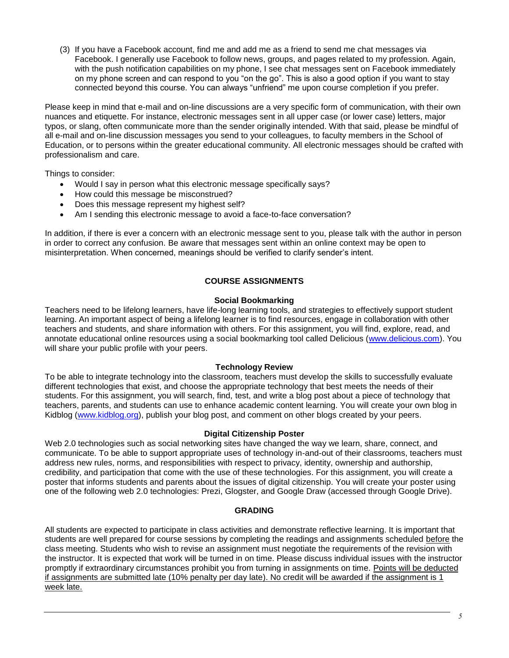(3) If you have a Facebook account, find me and add me as a friend to send me chat messages via Facebook. I generally use Facebook to follow news, groups, and pages related to my profession. Again, with the push notification capabilities on my phone, I see chat messages sent on Facebook immediately on my phone screen and can respond to you "on the go". This is also a good option if you want to stay connected beyond this course. You can always "unfriend" me upon course completion if you prefer.

Please keep in mind that e-mail and on-line discussions are a very specific form of communication, with their own nuances and etiquette. For instance, electronic messages sent in all upper case (or lower case) letters, major typos, or slang, often communicate more than the sender originally intended. With that said, please be mindful of all e-mail and on-line discussion messages you send to your colleagues, to faculty members in the School of Education, or to persons within the greater educational community. All electronic messages should be crafted with professionalism and care.

Things to consider:

- Would I say in person what this electronic message specifically says?
- How could this message be misconstrued?
- Does this message represent my highest self?
- Am I sending this electronic message to avoid a face-to-face conversation?

In addition, if there is ever a concern with an electronic message sent to you, please talk with the author in person in order to correct any confusion. Be aware that messages sent within an online context may be open to misinterpretation. When concerned, meanings should be verified to clarify sender's intent.

# **COURSE ASSIGNMENTS**

#### **Social Bookmarking**

Teachers need to be lifelong learners, have life-long learning tools, and strategies to effectively support student learning. An important aspect of being a lifelong learner is to find resources, engage in collaboration with other teachers and students, and share information with others. For this assignment, you will find, explore, read, and annotate educational online resources using a social bookmarking tool called Delicious [\(www.delicious.com\)](http://www.delicious.com/). You will share your public profile with your peers.

### **Technology Review**

To be able to integrate technology into the classroom, teachers must develop the skills to successfully evaluate different technologies that exist, and choose the appropriate technology that best meets the needs of their students. For this assignment, you will search, find, test, and write a blog post about a piece of technology that teachers, parents, and students can use to enhance academic content learning. You will create your own blog in Kidblog [\(www.kidblog.org\)](http://www.kidblog.org/), publish your blog post, and comment on other blogs created by your peers.

### **Digital Citizenship Poster**

Web 2.0 technologies such as social networking sites have changed the way we learn, share, connect, and communicate. To be able to support appropriate uses of technology in-and-out of their classrooms, teachers must address new rules, norms, and responsibilities with respect to privacy, identity, ownership and authorship, credibility, and participation that come with the use of these technologies. For this assignment, you will create a poster that informs students and parents about the issues of digital citizenship. You will create your poster using one of the following web 2.0 technologies: Prezi, Glogster, and Google Draw (accessed through Google Drive).

### **GRADING**

All students are expected to participate in class activities and demonstrate reflective learning. It is important that students are well prepared for course sessions by completing the readings and assignments scheduled before the class meeting. Students who wish to revise an assignment must negotiate the requirements of the revision with the instructor. It is expected that work will be turned in on time. Please discuss individual issues with the instructor promptly if extraordinary circumstances prohibit you from turning in assignments on time. Points will be deducted if assignments are submitted late (10% penalty per day late). No credit will be awarded if the assignment is 1 week late.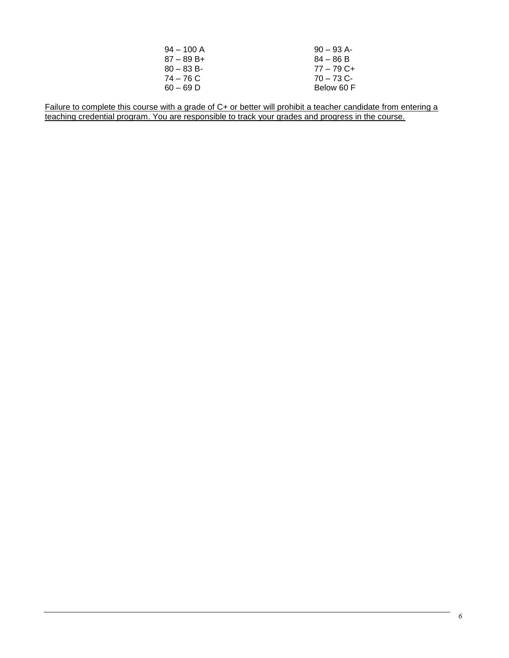| $94 - 100$ A | $90 - 93$ A- |
|--------------|--------------|
| $87 - 89B +$ | $84 - 86 B$  |
| $80 - 83 B$  | $77 - 79$ C+ |
| 74 – 76 C    | $70 - 73$ C- |
| $60 - 69$ D  | Below 60 F   |

Failure to complete this course with a grade of C+ or better will prohibit a teacher candidate from entering a teaching credential program. You are responsible to track your grades and progress in the course.